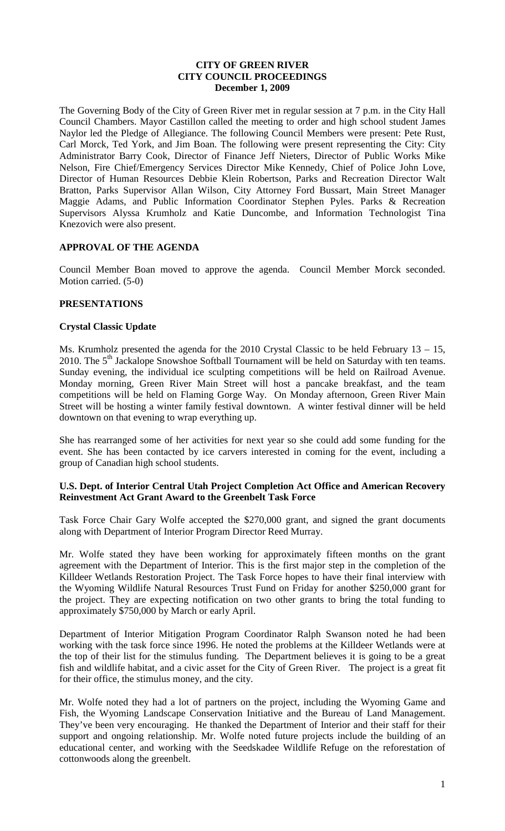## **CITY OF GREEN RIVER CITY COUNCIL PROCEEDINGS December 1, 2009**

The Governing Body of the City of Green River met in regular session at 7 p.m. in the City Hall Council Chambers. Mayor Castillon called the meeting to order and high school student James Naylor led the Pledge of Allegiance. The following Council Members were present: Pete Rust, Carl Morck, Ted York, and Jim Boan. The following were present representing the City: City Administrator Barry Cook, Director of Finance Jeff Nieters, Director of Public Works Mike Nelson, Fire Chief/Emergency Services Director Mike Kennedy, Chief of Police John Love, Director of Human Resources Debbie Klein Robertson, Parks and Recreation Director Walt Bratton, Parks Supervisor Allan Wilson, City Attorney Ford Bussart, Main Street Manager Maggie Adams, and Public Information Coordinator Stephen Pyles. Parks & Recreation Supervisors Alyssa Krumholz and Katie Duncombe, and Information Technologist Tina Knezovich were also present.

## **APPROVAL OF THE AGENDA**

Council Member Boan moved to approve the agenda. Council Member Morck seconded. Motion carried. (5-0)

## **PRESENTATIONS**

## **Crystal Classic Update**

Ms. Krumholz presented the agenda for the 2010 Crystal Classic to be held February 13 – 15, 2010. The  $5<sup>th</sup>$  Jackalope Snowshoe Softball Tournament will be held on Saturday with ten teams. Sunday evening, the individual ice sculpting competitions will be held on Railroad Avenue. Monday morning, Green River Main Street will host a pancake breakfast, and the team competitions will be held on Flaming Gorge Way. On Monday afternoon, Green River Main Street will be hosting a winter family festival downtown. A winter festival dinner will be held downtown on that evening to wrap everything up.

She has rearranged some of her activities for next year so she could add some funding for the event. She has been contacted by ice carvers interested in coming for the event, including a group of Canadian high school students.

## **U.S. Dept. of Interior Central Utah Project Completion Act Office and American Recovery Reinvestment Act Grant Award to the Greenbelt Task Force**

Task Force Chair Gary Wolfe accepted the \$270,000 grant, and signed the grant documents along with Department of Interior Program Director Reed Murray.

Mr. Wolfe stated they have been working for approximately fifteen months on the grant agreement with the Department of Interior. This is the first major step in the completion of the Killdeer Wetlands Restoration Project. The Task Force hopes to have their final interview with the Wyoming Wildlife Natural Resources Trust Fund on Friday for another \$250,000 grant for the project. They are expecting notification on two other grants to bring the total funding to approximately \$750,000 by March or early April.

Department of Interior Mitigation Program Coordinator Ralph Swanson noted he had been working with the task force since 1996. He noted the problems at the Killdeer Wetlands were at the top of their list for the stimulus funding. The Department believes it is going to be a great fish and wildlife habitat, and a civic asset for the City of Green River. The project is a great fit for their office, the stimulus money, and the city.

Mr. Wolfe noted they had a lot of partners on the project, including the Wyoming Game and Fish, the Wyoming Landscape Conservation Initiative and the Bureau of Land Management. They've been very encouraging. He thanked the Department of Interior and their staff for their support and ongoing relationship. Mr. Wolfe noted future projects include the building of an educational center, and working with the Seedskadee Wildlife Refuge on the reforestation of cottonwoods along the greenbelt.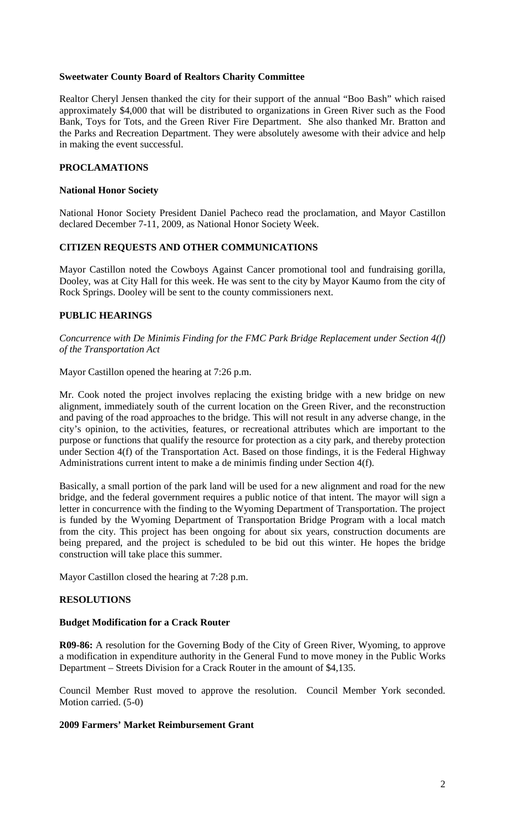## **Sweetwater County Board of Realtors Charity Committee**

Realtor Cheryl Jensen thanked the city for their support of the annual "Boo Bash" which raised approximately \$4,000 that will be distributed to organizations in Green River such as the Food Bank, Toys for Tots, and the Green River Fire Department. She also thanked Mr. Bratton and the Parks and Recreation Department. They were absolutely awesome with their advice and help in making the event successful.

# **PROCLAMATIONS**

### **National Honor Society**

National Honor Society President Daniel Pacheco read the proclamation, and Mayor Castillon declared December 7-11, 2009, as National Honor Society Week.

## **CITIZEN REQUESTS AND OTHER COMMUNICATIONS**

Mayor Castillon noted the Cowboys Against Cancer promotional tool and fundraising gorilla, Dooley, was at City Hall for this week. He was sent to the city by Mayor Kaumo from the city of Rock Springs. Dooley will be sent to the county commissioners next.

## **PUBLIC HEARINGS**

*Concurrence with De Minimis Finding for the FMC Park Bridge Replacement under Section 4(f) of the Transportation Act*

Mayor Castillon opened the hearing at 7:26 p.m.

Mr. Cook noted the project involves replacing the existing bridge with a new bridge on new alignment, immediately south of the current location on the Green River, and the reconstruction and paving of the road approaches to the bridge. This will not result in any adverse change, in the city's opinion, to the activities, features, or recreational attributes which are important to the purpose or functions that qualify the resource for protection as a city park, and thereby protection under Section 4(f) of the Transportation Act. Based on those findings, it is the Federal Highway Administrations current intent to make a de minimis finding under Section 4(f).

Basically, a small portion of the park land will be used for a new alignment and road for the new bridge, and the federal government requires a public notice of that intent. The mayor will sign a letter in concurrence with the finding to the Wyoming Department of Transportation. The project is funded by the Wyoming Department of Transportation Bridge Program with a local match from the city. This project has been ongoing for about six years, construction documents are being prepared, and the project is scheduled to be bid out this winter. He hopes the bridge construction will take place this summer.

Mayor Castillon closed the hearing at 7:28 p.m.

## **RESOLUTIONS**

#### **Budget Modification for a Crack Router**

**R09-86:** A resolution for the Governing Body of the City of Green River, Wyoming, to approve a modification in expenditure authority in the General Fund to move money in the Public Works Department – Streets Division for a Crack Router in the amount of \$4,135.

Council Member Rust moved to approve the resolution. Council Member York seconded. Motion carried. (5-0)

#### **2009 Farmers' Market Reimbursement Grant**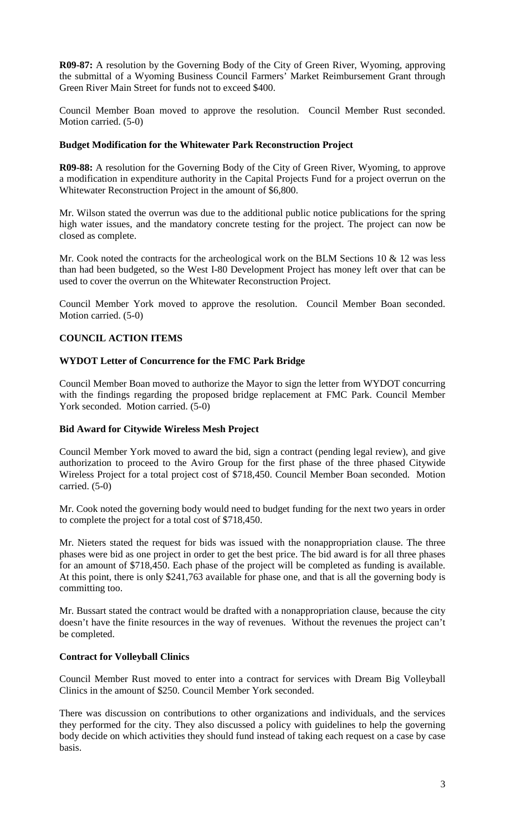**R09-87:** A resolution by the Governing Body of the City of Green River, Wyoming, approving the submittal of a Wyoming Business Council Farmers' Market Reimbursement Grant through Green River Main Street for funds not to exceed \$400.

Council Member Boan moved to approve the resolution. Council Member Rust seconded. Motion carried. (5-0)

## **Budget Modification for the Whitewater Park Reconstruction Project**

**R09-88:** A resolution for the Governing Body of the City of Green River, Wyoming, to approve a modification in expenditure authority in the Capital Projects Fund for a project overrun on the Whitewater Reconstruction Project in the amount of \$6,800.

Mr. Wilson stated the overrun was due to the additional public notice publications for the spring high water issues, and the mandatory concrete testing for the project. The project can now be closed as complete.

Mr. Cook noted the contracts for the archeological work on the BLM Sections  $10 \& 12$  was less than had been budgeted, so the West I-80 Development Project has money left over that can be used to cover the overrun on the Whitewater Reconstruction Project.

Council Member York moved to approve the resolution. Council Member Boan seconded. Motion carried. (5-0)

# **COUNCIL ACTION ITEMS**

## **WYDOT Letter of Concurrence for the FMC Park Bridge**

Council Member Boan moved to authorize the Mayor to sign the letter from WYDOT concurring with the findings regarding the proposed bridge replacement at FMC Park. Council Member York seconded. Motion carried. (5-0)

## **Bid Award for Citywide Wireless Mesh Project**

Council Member York moved to award the bid, sign a contract (pending legal review), and give authorization to proceed to the Aviro Group for the first phase of the three phased Citywide Wireless Project for a total project cost of \$718,450. Council Member Boan seconded. Motion carried. (5-0)

Mr. Cook noted the governing body would need to budget funding for the next two years in order to complete the project for a total cost of \$718,450.

Mr. Nieters stated the request for bids was issued with the nonappropriation clause. The three phases were bid as one project in order to get the best price. The bid award is for all three phases for an amount of \$718,450. Each phase of the project will be completed as funding is available. At this point, there is only \$241,763 available for phase one, and that is all the governing body is committing too.

Mr. Bussart stated the contract would be drafted with a nonappropriation clause, because the city doesn't have the finite resources in the way of revenues. Without the revenues the project can't be completed.

# **Contract for Volleyball Clinics**

Council Member Rust moved to enter into a contract for services with Dream Big Volleyball Clinics in the amount of \$250. Council Member York seconded.

There was discussion on contributions to other organizations and individuals, and the services they performed for the city. They also discussed a policy with guidelines to help the governing body decide on which activities they should fund instead of taking each request on a case by case basis.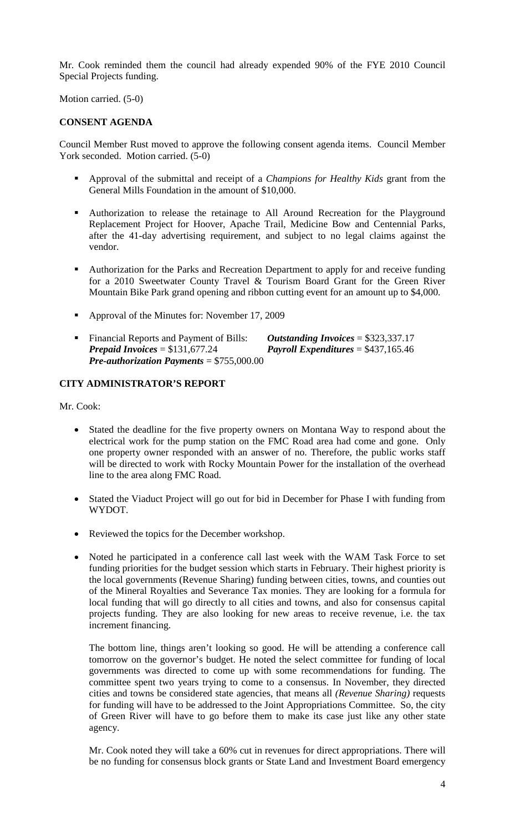Mr. Cook reminded them the council had already expended 90% of the FYE 2010 Council Special Projects funding.

Motion carried. (5-0)

# **CONSENT AGENDA**

Council Member Rust moved to approve the following consent agenda items. Council Member York seconded. Motion carried. (5-0)

- Approval of the submittal and receipt of a *Champions for Healthy Kids* grant from the General Mills Foundation in the amount of \$10,000.
- Authorization to release the retainage to All Around Recreation for the Playground Replacement Project for Hoover, Apache Trail, Medicine Bow and Centennial Parks, after the 41-day advertising requirement, and subject to no legal claims against the vendor.
- Authorization for the Parks and Recreation Department to apply for and receive funding for a 2010 Sweetwater County Travel & Tourism Board Grant for the Green River Mountain Bike Park grand opening and ribbon cutting event for an amount up to \$4,000.
- Approval of the Minutes for: November 17, 2009
- Financial Reports and Payment of Bills: *Outstanding Invoices* = \$323,337.17 *Prepaid Invoices* = \$131,677.24 *Payroll Expenditures* = \$437,165.46 *Pre-authorization Payments* = \$755,000.00

# **CITY ADMINISTRATOR'S REPORT**

Mr. Cook:

- Stated the deadline for the five property owners on Montana Way to respond about the electrical work for the pump station on the FMC Road area had come and gone. Only one property owner responded with an answer of no. Therefore, the public works staff will be directed to work with Rocky Mountain Power for the installation of the overhead line to the area along FMC Road.
- Stated the Viaduct Project will go out for bid in December for Phase I with funding from WYDOT.
- Reviewed the topics for the December workshop.
- Noted he participated in a conference call last week with the WAM Task Force to set funding priorities for the budget session which starts in February. Their highest priority is the local governments (Revenue Sharing) funding between cities, towns, and counties out of the Mineral Royalties and Severance Tax monies. They are looking for a formula for local funding that will go directly to all cities and towns, and also for consensus capital projects funding. They are also looking for new areas to receive revenue, i.e. the tax increment financing.

The bottom line, things aren't looking so good. He will be attending a conference call tomorrow on the governor's budget. He noted the select committee for funding of local governments was directed to come up with some recommendations for funding. The committee spent two years trying to come to a consensus. In November, they directed cities and towns be considered state agencies, that means all *(Revenue Sharing)* requests for funding will have to be addressed to the Joint Appropriations Committee. So, the city of Green River will have to go before them to make its case just like any other state agency.

Mr. Cook noted they will take a 60% cut in revenues for direct appropriations. There will be no funding for consensus block grants or State Land and Investment Board emergency